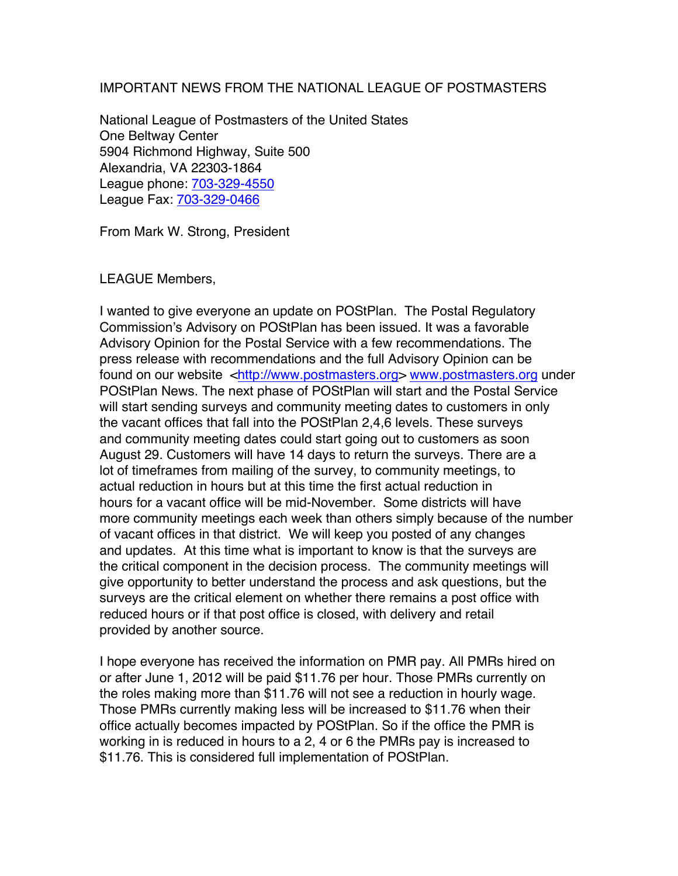## IMPORTANT NEWS FROM THE NATIONAL LEAGUE OF POSTMASTERS

National League of Postmasters of the United States One Beltway Center 5904 Richmond Highway, Suite 500 Alexandria, VA 22303-1864 League phone: 703-329-4550 League Fax: 703-329-0466

From Mark W. Strong, President

## LEAGUE Members,

I wanted to give everyone an update on POStPlan. The Postal Regulatory Commission's Advisory on POStPlan has been issued. It was a favorable Advisory Opinion for the Postal Service with a few recommendations. The press release with recommendations and the full Advisory Opinion can be found on our website <http://www.postmasters.org> www.postmasters.org under POStPlan News. The next phase of POStPlan will start and the Postal Service will start sending surveys and community meeting dates to customers in only the vacant offices that fall into the POStPlan 2,4,6 levels. These surveys and community meeting dates could start going out to customers as soon August 29. Customers will have 14 days to return the surveys. There are a lot of timeframes from mailing of the survey, to community meetings, to actual reduction in hours but at this time the first actual reduction in hours for a vacant office will be mid-November. Some districts will have more community meetings each week than others simply because of the number of vacant offices in that district. We will keep you posted of any changes and updates. At this time what is important to know is that the surveys are the critical component in the decision process. The community meetings will give opportunity to better understand the process and ask questions, but the surveys are the critical element on whether there remains a post office with reduced hours or if that post office is closed, with delivery and retail provided by another source.

I hope everyone has received the information on PMR pay. All PMRs hired on or after June 1, 2012 will be paid \$11.76 per hour. Those PMRs currently on the roles making more than \$11.76 will not see a reduction in hourly wage. Those PMRs currently making less will be increased to \$11.76 when their office actually becomes impacted by POStPlan. So if the office the PMR is working in is reduced in hours to a 2, 4 or 6 the PMRs pay is increased to \$11.76. This is considered full implementation of POStPlan.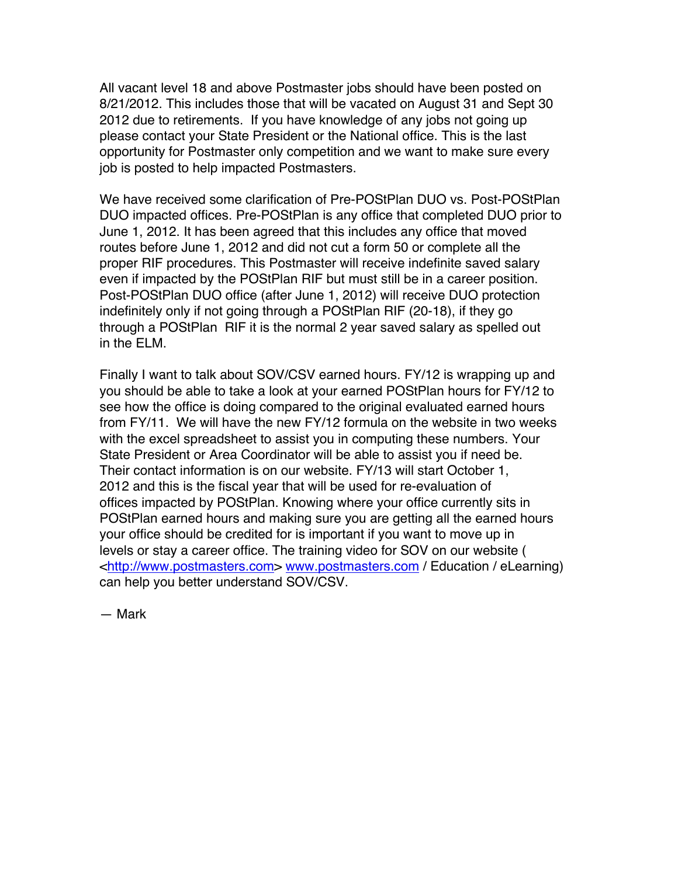All vacant level 18 and above Postmaster jobs should have been posted on 8/21/2012. This includes those that will be vacated on August 31 and Sept 30 2012 due to retirements. If you have knowledge of any jobs not going up please contact your State President or the National office. This is the last opportunity for Postmaster only competition and we want to make sure every job is posted to help impacted Postmasters.

We have received some clarification of Pre-POStPlan DUO vs. Post-POStPlan DUO impacted offices. Pre-POStPlan is any office that completed DUO prior to June 1, 2012. It has been agreed that this includes any office that moved routes before June 1, 2012 and did not cut a form 50 or complete all the proper RIF procedures. This Postmaster will receive indefinite saved salary even if impacted by the POStPlan RIF but must still be in a career position. Post-POStPlan DUO office (after June 1, 2012) will receive DUO protection indefinitely only if not going through a POStPlan RIF (20-18), if they go through a POStPlan RIF it is the normal 2 year saved salary as spelled out in the ELM.

Finally I want to talk about SOV/CSV earned hours. FY/12 is wrapping up and you should be able to take a look at your earned POStPlan hours for FY/12 to see how the office is doing compared to the original evaluated earned hours from FY/11. We will have the new FY/12 formula on the website in two weeks with the excel spreadsheet to assist you in computing these numbers. Your State President or Area Coordinator will be able to assist you if need be. Their contact information is on our website. FY/13 will start October 1, 2012 and this is the fiscal year that will be used for re-evaluation of offices impacted by POStPlan. Knowing where your office currently sits in POStPlan earned hours and making sure you are getting all the earned hours your office should be credited for is important if you want to move up in levels or stay a career office. The training video for SOV on our website ( <http://www.postmasters.com> www.postmasters.com / Education / eLearning) can help you better understand SOV/CSV.

— Mark